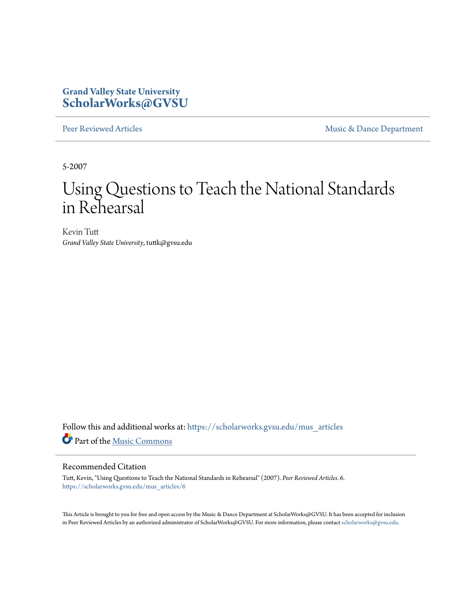### **Grand Valley State University [ScholarWorks@GVSU](https://scholarworks.gvsu.edu?utm_source=scholarworks.gvsu.edu%2Fmus_articles%2F6&utm_medium=PDF&utm_campaign=PDFCoverPages)**

[Peer Reviewed Articles](https://scholarworks.gvsu.edu/mus_articles?utm_source=scholarworks.gvsu.edu%2Fmus_articles%2F6&utm_medium=PDF&utm_campaign=PDFCoverPages) **[Music & Dance Department](https://scholarworks.gvsu.edu/mus?utm_source=scholarworks.gvsu.edu%2Fmus_articles%2F6&utm_medium=PDF&utm_campaign=PDFCoverPages)** 

5-2007

# Using Questions to Teach the National Standards in Rehearsal

Kevin Tutt *Grand Valley State University*, tuttk@gvsu.edu

Follow this and additional works at: [https://scholarworks.gvsu.edu/mus\\_articles](https://scholarworks.gvsu.edu/mus_articles?utm_source=scholarworks.gvsu.edu%2Fmus_articles%2F6&utm_medium=PDF&utm_campaign=PDFCoverPages) Part of the [Music Commons](http://network.bepress.com/hgg/discipline/518?utm_source=scholarworks.gvsu.edu%2Fmus_articles%2F6&utm_medium=PDF&utm_campaign=PDFCoverPages)

#### Recommended Citation

Tutt, Kevin, "Using Questions to Teach the National Standards in Rehearsal" (2007). *Peer Reviewed Articles*. 6. [https://scholarworks.gvsu.edu/mus\\_articles/6](https://scholarworks.gvsu.edu/mus_articles/6?utm_source=scholarworks.gvsu.edu%2Fmus_articles%2F6&utm_medium=PDF&utm_campaign=PDFCoverPages)

This Article is brought to you for free and open access by the Music & Dance Department at ScholarWorks@GVSU. It has been accepted for inclusion in Peer Reviewed Articles by an authorized administrator of ScholarWorks@GVSU. For more information, please contact [scholarworks@gvsu.edu](mailto:scholarworks@gvsu.edu).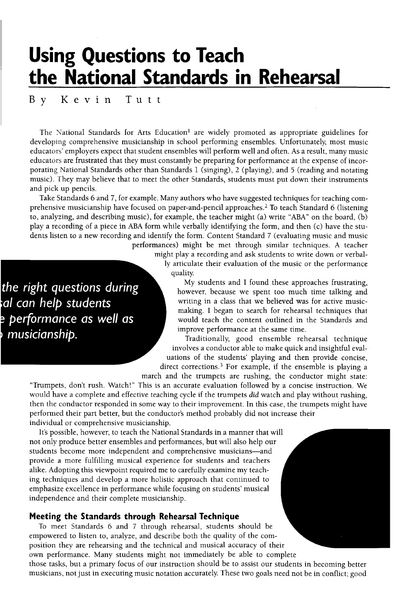# Using Questions to Teach the National Standards in Rehearsal

B y Kevin T u t t

The National Standards for Arts Education<sup>1</sup> are widely promoted as appropriate guidelines for developing comprehensive musicianship in school performing ensembles. Unfortunately, most music educators' employers expect that student ensembles will perform well and often. As a result, many music educators are frustrated that they must constantly be preparing for performance at the expense of incorporating National Standards other than Standards 1 (singing), 2 (playing), and 5 (reading and notating music). They may believe that to meet the other Standards, students must put down their instruments and pick up pencils.

Take Standards 6 and 7, for example. Many authors who have suggested techniques for teaching comprehensive musicianship have focused on paper-and-pencil approaches.<sup>2</sup> To teach Standard 6 (listening to, analyzing, and describing music), for example, the teacher might (a) write "ABA" on the board,  $(b)$ play a recording of a piece in ABA form while verbally identifying the form, and then (c) have the students listen to a new recording and identify the form. Content Standard 7 (evaluating music and music performances) might be met through similar techniques. A teacher

> might play a recording and ask students to write down or verbally articulate their evaluation of the music or the performance quality.

the right questions during al can help students performance as well as musicianship.

My students and I found these approaches frustrating, however, because we spent too much time talking and writing in a class that we believed was for active musicmaking. I began to search for rehearsal techniques that would teach the content outlined in the Standards and improve performance at the same time.<br>Traditionally, good ensemble rehearsal technique

involves a conductor able to make quick and insightful evaluations of the students' playing and then provide concise, direct corrections.<sup>3</sup> For example, if the ensemble is playing a

march and the trumpets are rushing, the conductor might state:

"Trumpets, don't rush. Watch!" This is an accurate evaluation followed by a concise instruction. We would have a complete and effective teaching cycle if the trumpets did watch and play without rushing, then the conductor responded in some way to their improvement. In this case, the trumpets might have performed their part better, but the conductor's method probably did not increase their individual or comprehensive musicianship.

It's possible, however, to teach the National Standards in a manner that will not only produce better ensembles and performances, but will also help our students become more independent and comprehensive musicians-and provide a more fulfilling musical experience for students and teachers alike. Adopting this viewpoint required me to carefully examine my teaching techniques and develop a more holistic approach that continued to emphasize excellence in performance while focusing on students' musical independence and their complete musicianship.

#### Meeting the Standards through Rehearsal Technique

To meet Standards 6 and 7 through rehearsal, students should be empowered to listen to, analyze, and describe both the quality of the composition they are rehearsing and the technical and musical accuracy of their own performance. Many students might not immediately be able to complete those tasks, but a primary focus of our instruction should be to assist our students in becoming better musicians, not just in executing music notation accurately These two goals need not be in conflict; good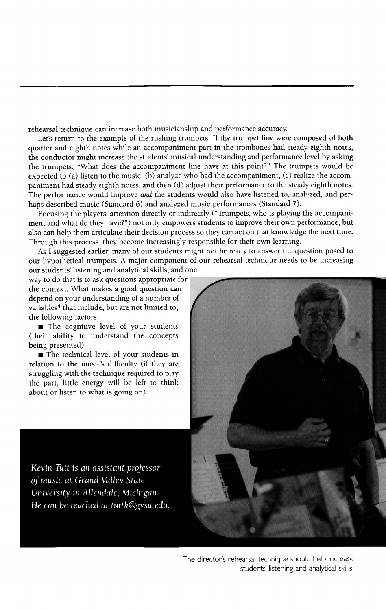rehearsal technique can increase both musicianship and performance accuracy

Let's return to the example of the rushing trumpets. If the trumpet line were composed of both quarter and eighth notes while an accompaniment part in the trombones had steady eighth notes, the conductor might increase the students' musical understanding and performance level by asking the trumpets, "What does the accompaniment line have at this point?" The trumpets would be expected to (a) listen to the music, (b) analyze who had the accompaniment, (c) realize the accompaniment had steady eighth notes, and then (d) adjust their performance to the steady eighth notes. The performance would improve and the students would also have listened to, analyzed, and perhaps described music (Standard 6) and analyzed music performances (Standard 7).<br>Focusing the players' attention directly or indirectly ("Trumpets, who is playing the accompani-

ment and what do they have?") not only empowers students to improve their own performance, but also can help them articulate their decision process so they can act on that knowledge the next time. Through this process, they become increasingly responsible for their own learning.

As I suggested earlier, many of our students might not be ready to answer the question posed to our hypothetical trumpets. A major component of our rehearsal technique needs to be increasing our students' listening and analytical skills, and one

way to do that is to ask questions appropriate for the context. What makes a good question can depend on your understanding of a number of variables<sup>4</sup> that include, but are not limited to, the following factors:

 $\blacksquare$  The cognitive level of your students (their ability to understand the concepts ) being presented).

■ The technical level of your students in relation to the music's difficulty (if they are struggling with the technique required to play the part, little energy will be left to think about or listen to what is going on).

Kevin Tutt is an assistant professor of music at Grand Valley State University in Allendale, Michigan. He can be reached at tuttk@gvsu.edu.



The director's rehearsal technique should help increase students' listening and analytical skills.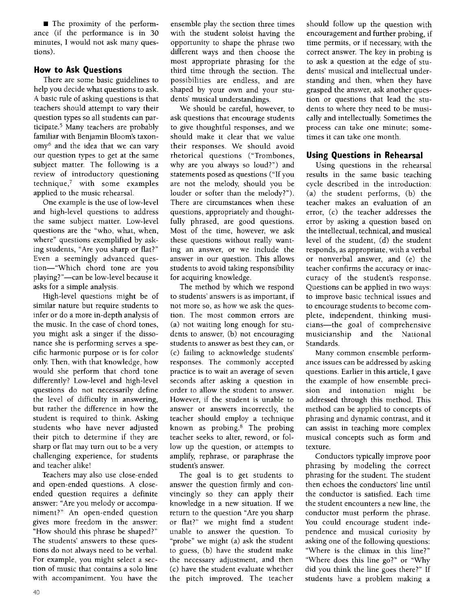$\blacksquare$  The proximity of the performance (if the performance is in 30 minutes, I would not ask many questions).

#### How to Ask Questions

There are some basic guidelines to help you decide what questions to ask. A basic rule of asking questions is that teachers should attempt to vary their question types so all students can participate.5 Many teachers are probably familiar with Benjamin Bloom's taxonomy6 and the idea that we can vary our question types to get at the same subject matter. The following is a review of introductory questioning technique,' with some examples applied to the music rehearsal.

One example is the use of low-level and high-level questions to address the same subject matter. Low-level questions are the "who, what, when, where" questions exemplified by asking students, "Are you sharp or flat?" Even a seemingly advanced question-"Which chord tone are you playing?"-can be low-level because it asks for a simple analysis.

High-level questions might be of similar nature but require students to infer or do a more in-depth analysis of the music. In the case of chord tones, you might ask a singer if the dissonance she is performing serves a specific harmonic purpose or is for color only. Then, with that knowledge, how would she perform that chord tone differently? Low-level and high-level questions do not necessarily define the level of difficulty in answering, but rather the difference in how the student is required to think. Asking students who have never adjusted their pitch to determine if they are sharp or flat may turn out to be a very challenging experience, for students and teacher alike!

Teachers may also use close-ended and open-ended questions. A closeended question requires a definite answer: "Are you melody or accompaniment?" An open-ended question gives more freedom in the answer: "How should this phrase be shaped?" The students' answers to these questions do not always need to be verbal. For example, you might select a section of music that contains a solo line with accompaniment. You have the

ensemble play the section three times with the student soloist having the opportunity to shape the phrase two different ways and then choose the most appropriate phrasing for the third time through the section. The possibilities are endless, and are shaped by your own and your students' musical understandings.

We should be careful, however, to ask questions that encourage students to give thoughtful responses, and we should make it clear that we value their responses. We should avoid rhetorical questions ("Trombones, why are you always so loud?") and statements posed as questions ("If you are not the melody, should you be louder or softer than the melody?"). There are circumstances when these questions, appropriately and thoughtfully phrased, are good questions. Most of the time, however, we ask these questions without really wanting an answer, or we include the answer in our question. This allows students to avoid taking responsibility for acquiring knowledge.

The method by which we respond to students' answers is as important, if not more so, as how we ask the question. The most common errors are (a) not waiting long enough for students to answer, (b) not encouraging students to answer as best they can, or (c) failing to acknowledge students' responses. The commonly accepted practice is to wait an average of seven seconds after asking a question in order to allow the student to answer. However, if the student is unable to answer or answers incorrectly, the teacher should employ a technique known as probing.<sup>8</sup> The probing teacher seeks to alter, reword, or follow up the question, or attempts to amplify, rephrase, or paraphrase the student's answer.

The goal is to get students to answer the question firmly and convincingly so they can apply their knowledge in a new situation. If we return to the question "Are you sharp or flat?" we might find a student unable to answer the question. To "probe" we might (a) ask the student to guess, (b) have the student make the necessary adjustment, and then (c) have the student evaluate whether the pitch improved. The teacher should follow up the question with encouragement and further probing, if time permits, or if necessary, with the correct answer. The key in probing is to ask a question at the edge of students' musical and intellectual understanding and then, when they have grasped the answer, ask another question or questions that lead the students to where they need to be musically and intellectually Sometimes the process can take one minute; sometimes it can take one month.

#### Using Questions in Rehearsal

Using questions in the rehearsal results in the same basic teaching cycle described in the introduction: (a) the student performs, (b) the teacher makes an evaluation of an error, (c) the teacher addresses the error by asking a question based on the intellectual, technical, and musical level of the student, (d) the student responds, as appropriate, with a verbal or nonverbal answer, and (e) the teacher confirms the accuracy or inaccuracy of the student's response. Questions can be applied in two ways: to improve basic technical issues and to encourage students to become complete, independent, thinking musicians-the goal of comprehensive musicianship and the National Standards.

Many common ensemble perform ance issues can be addressed by asking questions. Earlier in this article, I gave the example of how ensemble precision and intonation might be addressed through this method. This method can be applied to concepts of phrasing and dynamic contrast, and it can assist in teaching more complex musical concepts such as form and texture.

Conductors typically improve poor phrasing by modeling the correct phrasing for the student. The student then echoes the conductors' line until the conductor is satisfied. Each time the student encounters a new line, the conductor must perform the phrase. You could encourage student independence and musical curiosity by asking one of the following questions: "Where is the climax in this line?" "Where does this line go?" or "Why did you think the line goes there?" If students have a problem making a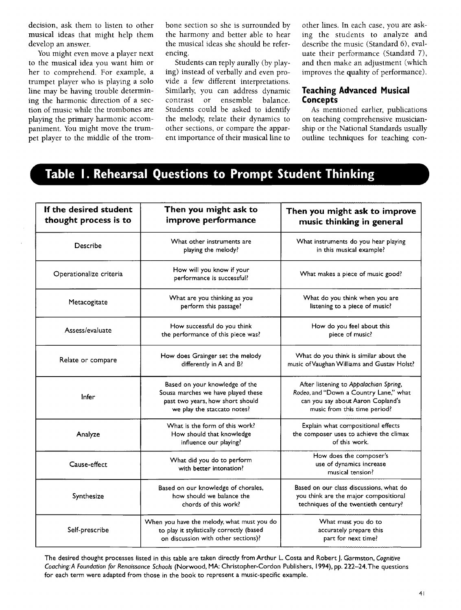decision, ask them to listen to other musical ideas that might help them develop an answer.

You might even move a player next to the musical idea you want him or her to comprehend. For example, a trumpet player who is playing a solo line may be having trouble determining the harmonic direction of a section of music while the trombones are playing the primary harmonic accompaniment. You might move the trumpet player to the middle of the trombone section so she is surrounded by the harmony and better able to hear the musical ideas she should be referencing.

Students can reply aurally (by playing) instead of verbally and even provide a few different interpretations. Similarly, you can address dynamic contrast or ensemble balance. Students could be asked to identify the melody, relate their dynamics to other sections, or compare the apparent importance of their musical line to

other lines. In each case, you are asking the students to analyze and describe the music (Standard 6), evaluate their performance (Standard 7), and then make an adjustment (which improves the quality of performance).

#### Teaching Advanced Musical Concepts

As mentioned earlier, publications on teaching comprehensive musicianship or the National Standards usually outline techniques for teaching con-

## Table I. Rehearsal Questions to Prompt Student Thinking.

| If the desired student<br>thought process is to | Then you might ask to<br>improve performance                                                                                            | Then you might ask to improve<br>music thinking in general                                                                                            |
|-------------------------------------------------|-----------------------------------------------------------------------------------------------------------------------------------------|-------------------------------------------------------------------------------------------------------------------------------------------------------|
| Describe                                        | What other instruments are<br>playing the melody?                                                                                       | What instruments do you hear playing<br>in this musical example?                                                                                      |
| Operationalize criteria                         | How will you know if your<br>performance is successful?                                                                                 | What makes a piece of music good?                                                                                                                     |
| Metacogitate                                    | What are you thinking as you<br>perform this passage?                                                                                   | What do you think when you are<br>listening to a piece of music?                                                                                      |
| Assess/evaluate                                 | How successful do you think<br>the performance of this piece was?                                                                       | How do you feel about this<br>piece of music?                                                                                                         |
| Relate or compare                               | How does Grainger set the melody<br>differently in A and B?                                                                             | What do you think is similar about the<br>music of Vaughan Williams and Gustav Holst?                                                                 |
| Infer                                           | Based on your knowledge of the<br>Sousa marches we have played these<br>past two years, how short should<br>we play the staccato notes? | After listening to Appalachian Spring,<br>Rodeo, and "Down a Country Lane," what<br>can you say about Aaron Copland's<br>music from this time period? |
| Analyze                                         | What is the form of this work?<br>How should that knowledge<br>influence our playing?                                                   | Explain what compositional effects<br>the composer uses to achieve the climax<br>of this work.                                                        |
| Cause-effect                                    | What did you do to perform<br>with better intonation?                                                                                   | How does the composer's<br>use of dynamics increase<br>musical tension?                                                                               |
| Synthesize                                      | Based on our knowledge of chorales,<br>how should we balance the<br>chords of this work?                                                | Based on our class discussions, what do<br>you think are the major compositional<br>techniques of the twentieth century?                              |
| Self-prescribe                                  | When you have the melody, what must you do<br>to play it stylistically correctly (based<br>on discussion with other sections)?          | What must you do to<br>accurately prepare this<br>part for next time?                                                                                 |

The desired thought processes listed in this table are taken directly from Arthur L. Costa and Robert J. Garmston, Cognitive Coaching:A Foundation for Renaissance Schools (Norwood, MA: Christopher-Cordon Publishers, 1994), pp. 222-24.The questions for each term were adapted from those in the book to represent a music-specific example.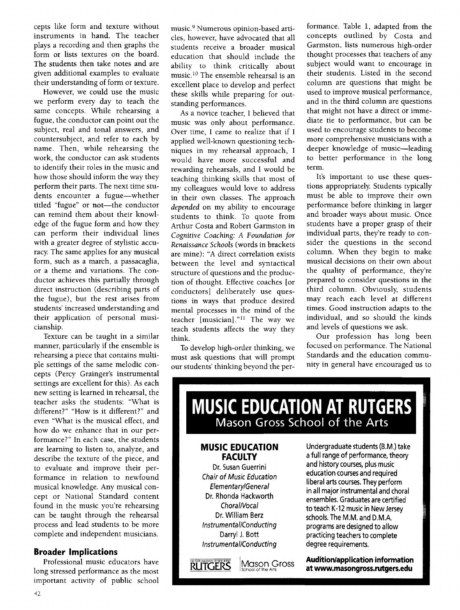cepts like form and texture without instruments in hand. The teacher plays a recording and then graphs the form or lists textures on the board. The students then take notes and are given additional examples to evaluate their understanding of form or texture.

However, we could use the music we perform every day to teach the same concepts. While rehearsing a fugue, the conductor can point out the subject, real and tonal answers, and countersubject, and refer to each by name. Then, while rehearsing the work, the conductor can ask students to identify their roles in the music and how those should inform the way they perform their parts. The next time students encounter a fugue-whether titled "fugue" or not-the conductor can remind them about their knowledge of the fugue form and how they can perform their individual lines with a greater degree of stylistic accuracy. The same applies for any musical form, such as a march, a passacaglia, or a theme and variations. The conductor achieves this partially through direct instruction (describing parts of the fugue), but the rest arises from students' increased understanding and their application of personal musicianship.

Texture can be taught in a similar manner, particularly if the ensemble is rehearsing a piece that contains multiple settings of the same melodic concepts (Percy Grainger's instrumental settings are excellent for this). As each new setting is learned in rehearsal, the teacher asks the students: "What is different?" "How is it different?" and even "What is the musical effect, and how do we enhance that in our performance?" In each case, the students are learning to listen to, analyze, and describe the texture of the piece, and to evaluate and improve their performance in relation to newfound musical knowledge. Any musical concept or National Standard content found in the music you're rehearsing can be taught through the rehearsal process and lead students to be more complete and independent musicians.

#### Broader Implications

Professional music educators have long stressed performance as the most important activity of public school

music.9 Numerous opinion-based articles, however, have advocated that all students receive a broader musical education that should include the ability to think critically about music.<sup>10</sup> The ensemble rehearsal is an excellent place to develop and perfect these skills while preparing for outstanding performances.

As a novice teacher, I believed that music was only about performance. Over time, I came to realize that if I applied well-known questioning techniques in my rehearsal approach, I would have more successful and rewarding rehearsals, and I would be teaching thinking skills that most of my colleagues would love to address in their own classes. The approach depended on my ability to encourage students to think. To quote from Arthur Costa and Robert Garmston in Cognitive Coaching: A Foundation for Renaissance Schools (words in brackets are mine): "A direct correlation exists between the level and syntactical structure of questions and the production of thought. Effective coaches [or conductors] deliberately use questions in ways that produce desired mental processes in the mind of the teacher [musician]."<sup>11</sup> The way we teach students affects the way they think.

To develop high-order thinking, we must ask questions that will prompt our students' thinking beyond the performance. Table 1, adapted from the concepts outlined by Costa and Garmston, lists numerous high-order thought processes that teachers of any subject would want to encourage in their students. Listed in the second column are questions that might be used to improve musical performance, and in the third column are questions that might not have a direct or immediate tie to performance, but can be used to encourage students to become more comprehensive musicians with a deeper knowledge of music-leading to better performance in the long term.

It's important to use these questions appropriately Students typically must be able to improve their own performance before thinking in larger and broader ways about music. Once students have a proper grasp of their individual parts, they're ready to consider the questions in the second column. When they begin to make musical decisions on their own about the quality of performance, they're prepared to consider questions in the third column. Obviously, students may reach each level at different times. Good instruction adapts to the individual, and so should the kinds and levels of questions we ask.

Our profession has long been focused on performance. The National Standards and the education community in general have encouraged us to

## **MUSIC EDUCATION AT RUTGERS** Mason Gross School of the Arts

#### **MUSIC EDUCATION FACULTY**

Dr. Susan Guerrini Chair of Music Education Elementary/General Dr. Rhonda Hackworth Choral/Vocal Dr. William Berz Instrumental/Conducting Darryl J. Bott Instrumental/Conducting



**Mason Gross** 

Undergraduate students (B.M.) take a full range of performance, theory and history courses, plus music education courses and required liberal arts courses. They perform in all major instrumental and choral ensembles. Graduates are certified to teach K-12 music in New Jersey schools. The M.M. and D.M.A. programs are designed to allow practicing teachers to complete degree requirements.

**Audition/application information** at www.masongross.rutgers.edu